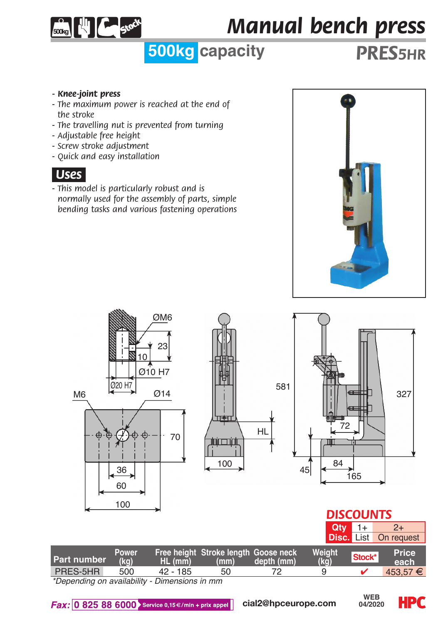

# *Manual bench press*

## **500kg capacity** *PRES5hr*

- *Knee-joint press*
- *The maximum power is reached at the end of the stroke*
- *The travelling nut is prevented from turning*
- *Adjustable free height*
- *Screw stroke adjustment*
- *Quick and easy installation*

#### *.Uses.*

*- This model is particularly robust and is normally used for the assembly of parts, simple bending tasks and various fastening operations*





#### *DISCOUNTS* **Qty**  $1+$   $2+$

|                                                                                                                                                                                                                                   |               |            |                                              |             |                        |        | <b>Disc.</b> List On request |
|-----------------------------------------------------------------------------------------------------------------------------------------------------------------------------------------------------------------------------------|---------------|------------|----------------------------------------------|-------------|------------------------|--------|------------------------------|
| Part number                                                                                                                                                                                                                       | Power<br>(ka) | $HL$ (mm)  | Free height Stroke length Goose neck<br>(mm) | depth (mm). | Weight<br>$(k\bar{a})$ | Stock* | Price<br>each                |
| PRES-5HR                                                                                                                                                                                                                          | 500           | $42 - 185$ | 50                                           |             | a                      |        | $453.57 \in$                 |
| $\frac{1}{2}$ and the contract of the contract of the contract of the contract of the contract of the contract of the contract of the contract of the contract of the contract of the contract of the contract of the contract of |               |            |                                              |             |                        |        |                              |

*\*Depending on availability - Dimensions in mm*